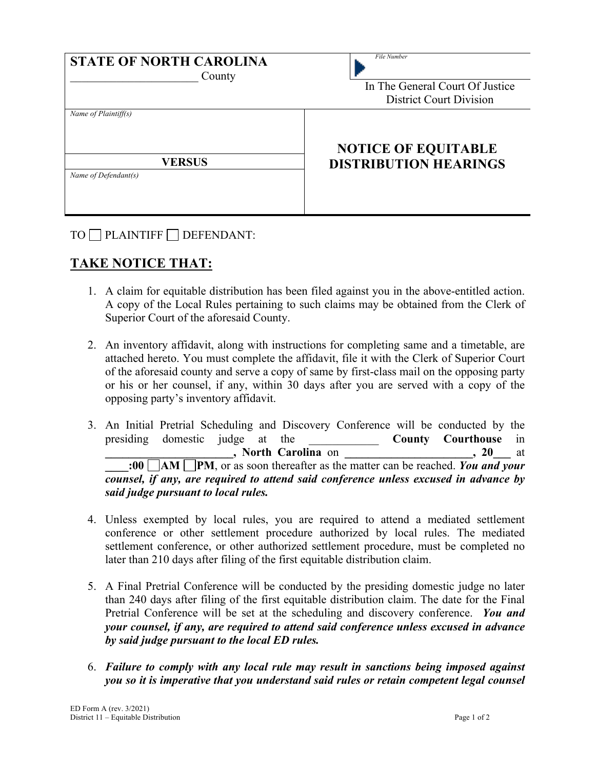| <b>STATE OF NORTH CAROLINA</b><br>County | File Number<br>In The General Court Of Justice |
|------------------------------------------|------------------------------------------------|
|                                          | <b>District Court Division</b>                 |
| Name of Plaintiff(s)                     | <b>NOTICE OF EQUITABLE</b>                     |
| <b>VERSUS</b><br>Name of Defendant(s)    | <b>DISTRIBUTION HEARINGS</b>                   |

TO PLAINTIFF DEFENDANT:

## **TAKE NOTICE THAT:**

- 1. A claim for equitable distribution has been filed against you in the above-entitled action. A copy of the Local Rules pertaining to such claims may be obtained from the Clerk of Superior Court of the aforesaid County.
- 2. An inventory affidavit, along with instructions for completing same and a timetable, are attached hereto. You must complete the affidavit, file it with the Clerk of Superior Court of the aforesaid county and serve a copy of same by first-class mail on the opposing party or his or her counsel, if any, within 30 days after you are served with a copy of the opposing party's inventory affidavit.
- 3. An Initial Pretrial Scheduling and Discovery Conference will be conducted by the presiding domestic judge at the **County Courthouse** in **\_\_\_\_\_\_\_\_\_\_\_\_\_\_\_\_\_\_\_\_\_\_, North Carolina** on **\_\_\_\_\_\_\_\_\_\_\_\_\_\_\_\_\_\_\_\_\_\_, 20\_\_\_** at **:00 AM PM**, or as soon thereafter as the matter can be reached. You and your *counsel, if any, are required to attend said conference unless excused in advance by said judge pursuant to local rules.*
- 4. Unless exempted by local rules, you are required to attend a mediated settlement conference or other settlement procedure authorized by local rules. The mediated settlement conference, or other authorized settlement procedure, must be completed no later than 210 days after filing of the first equitable distribution claim.
- 5. A Final Pretrial Conference will be conducted by the presiding domestic judge no later than 240 days after filing of the first equitable distribution claim. The date for the Final Pretrial Conference will be set at the scheduling and discovery conference. *You and your counsel, if any, are required to attend said conference unless excused in advance by said judge pursuant to the local ED rules.*
- 6. *Failure to comply with any local rule may result in sanctions being imposed against you so it is imperative that you understand said rules or retain competent legal counsel*